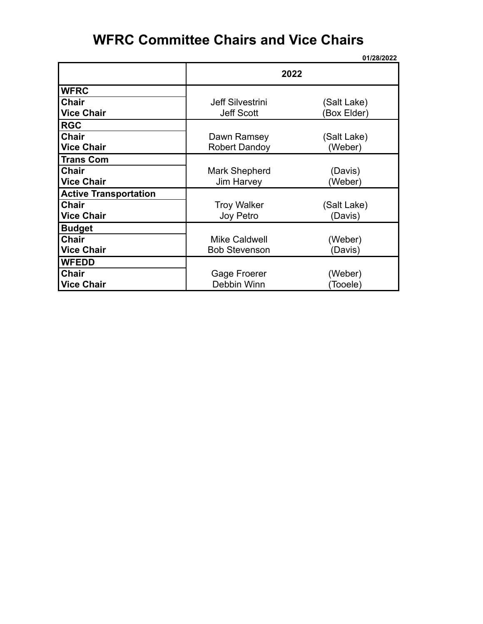# **WFRC Committee Chairs and Vice Chairs**

|                              |                         | 01/28/2022  |
|------------------------------|-------------------------|-------------|
|                              | 2022                    |             |
| <b>WFRC</b>                  |                         |             |
| <b>Chair</b>                 | <b>Jeff Silvestrini</b> | (Salt Lake) |
| <b>Vice Chair</b>            | <b>Jeff Scott</b>       | (Box Elder) |
| <b>RGC</b>                   |                         |             |
| <b>Chair</b>                 | Dawn Ramsey             | (Salt Lake) |
| <b>Vice Chair</b>            | <b>Robert Dandoy</b>    | (Weber)     |
| <b>Trans Com</b>             |                         |             |
| <b>Chair</b>                 | Mark Shepherd           | (Davis)     |
| <b>Vice Chair</b>            | Jim Harvey              | (Weber)     |
| <b>Active Transportation</b> |                         |             |
| <b>Chair</b>                 | <b>Troy Walker</b>      | (Salt Lake) |
| <b>Vice Chair</b>            | Joy Petro               | (Davis)     |
| <b>Budget</b>                |                         |             |
| <b>Chair</b>                 | <b>Mike Caldwell</b>    | (Weber)     |
| <b>Vice Chair</b>            | <b>Bob Stevenson</b>    | (Davis)     |
| <b>WFEDD</b>                 |                         |             |
| <b>Chair</b>                 | Gage Froerer            | (Weber)     |
| <b>Vice Chair</b>            | Debbin Winn             | (Tooele)    |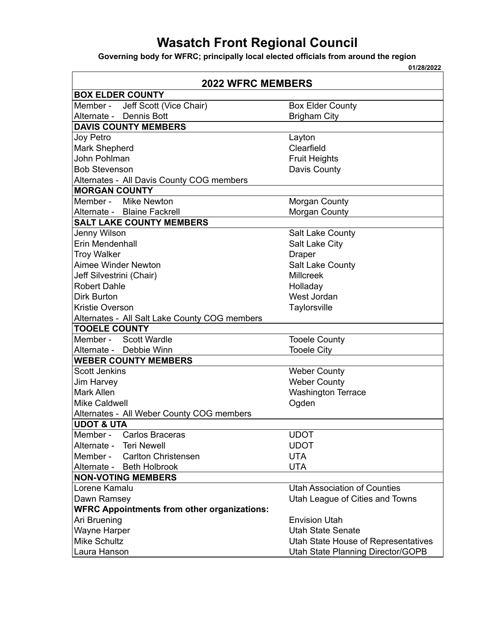# **Wasatch Front Regional Council**

**Governing body for WFRC; principally local elected officials from around the region**

**01/28/2022**

| <b>2022 WFRC MEMBERS</b>                           |                                     |
|----------------------------------------------------|-------------------------------------|
| <b>BOX ELDER COUNTY</b>                            |                                     |
| Jeff Scott (Vice Chair)<br>Member -                | <b>Box Elder County</b>             |
| Alternate - Dennis Bott                            | <b>Brigham City</b>                 |
| <b>DAVIS COUNTY MEMBERS</b>                        |                                     |
| Joy Petro                                          | Layton                              |
| Mark Shepherd                                      | Clearfield                          |
| John Pohlman                                       | <b>Fruit Heights</b>                |
| <b>Bob Stevenson</b>                               | Davis County                        |
| Alternates - All Davis County COG members          |                                     |
| <b>MORGAN COUNTY</b>                               |                                     |
| Member - Mike Newton                               | Morgan County                       |
| Alternate - Blaine Fackrell                        | Morgan County                       |
| <b>SALT LAKE COUNTY MEMBERS</b>                    |                                     |
| Jenny Wilson                                       | Salt Lake County                    |
| Erin Mendenhall                                    | Salt Lake City                      |
| <b>Troy Walker</b>                                 | <b>Draper</b>                       |
| <b>Aimee Winder Newton</b>                         | Salt Lake County                    |
| Jeff Silvestrini (Chair)                           | <b>Millcreek</b>                    |
| <b>Robert Dahle</b>                                | Holladay                            |
| <b>Dirk Burton</b><br>West Jordan                  |                                     |
| Kristie Overson<br>Taylorsville                    |                                     |
| Alternates - All Salt Lake County COG members      |                                     |
| <b>TOOELE COUNTY</b>                               |                                     |
| Member - Scott Wardle                              | <b>Tooele County</b>                |
| Alternate - Debbie Winn                            | <b>Tooele City</b>                  |
| <b>WEBER COUNTY MEMBERS</b>                        |                                     |
| <b>Scott Jenkins</b>                               | <b>Weber County</b>                 |
| Jim Harvey                                         | <b>Weber County</b>                 |
| <b>Mark Allen</b><br><b>Washington Terrace</b>     |                                     |
| <b>Mike Caldwell</b>                               | Ogden                               |
| Alternates - All Weber County COG members          |                                     |
| <b>UDOT &amp; UTA</b>                              |                                     |
| Member - Carlos Braceras                           | <b>UDOT</b>                         |
| Alternate - Teri Newell                            | <b>UDOT</b>                         |
| Member - Carlton Christensen                       | <b>UTA</b>                          |
| Alternate - Beth Holbrook                          | <b>UTA</b>                          |
| <b>NON-VOTING MEMBERS</b>                          |                                     |
| Lorene Kamalu                                      | <b>Utah Association of Counties</b> |
| Dawn Ramsey                                        | Utah League of Cities and Towns     |
| <b>WFRC Appointments from other organizations:</b> |                                     |
| Ari Bruening                                       | <b>Envision Utah</b>                |
| Wayne Harper                                       | <b>Utah State Senate</b>            |
| <b>Mike Schultz</b>                                | Utah State House of Representatives |
| Laura Hanson                                       | Utah State Planning Director/GOPB   |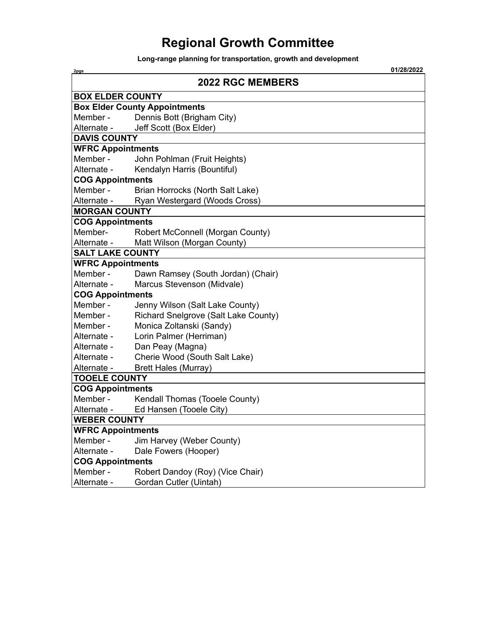# **Regional Growth Committee**

**Long-range planning for transportation, growth and development**

| 2pgs                     | 01/28/2022                           |  |  |
|--------------------------|--------------------------------------|--|--|
|                          | <b>2022 RGC MEMBERS</b>              |  |  |
| <b>BOX ELDER COUNTY</b>  |                                      |  |  |
|                          | <b>Box Elder County Appointments</b> |  |  |
| Member -                 | Dennis Bott (Brigham City)           |  |  |
| Alternate -              | Jeff Scott (Box Elder)               |  |  |
| <b>DAVIS COUNTY</b>      |                                      |  |  |
| <b>WFRC Appointments</b> |                                      |  |  |
| Member -                 | John Pohlman (Fruit Heights)         |  |  |
| Alternate -              | Kendalyn Harris (Bountiful)          |  |  |
| <b>COG Appointments</b>  |                                      |  |  |
| Member -                 | Brian Horrocks (North Salt Lake)     |  |  |
| Alternate -              | Ryan Westergard (Woods Cross)        |  |  |
| <b>MORGAN COUNTY</b>     |                                      |  |  |
| <b>COG Appointments</b>  |                                      |  |  |
| Member-                  | Robert McConnell (Morgan County)     |  |  |
| Alternate -              | Matt Wilson (Morgan County)          |  |  |
| <b>SALT LAKE COUNTY</b>  |                                      |  |  |
| <b>WFRC Appointments</b> |                                      |  |  |
| Member -                 | Dawn Ramsey (South Jordan) (Chair)   |  |  |
| Alternate -              | Marcus Stevenson (Midvale)           |  |  |
| <b>COG Appointments</b>  |                                      |  |  |
| Member -                 | Jenny Wilson (Salt Lake County)      |  |  |
| Member -                 | Richard Snelgrove (Salt Lake County) |  |  |
| Member -                 | Monica Zoltanski (Sandy)             |  |  |
| Alternate -              | Lorin Palmer (Herriman)              |  |  |
| Alternate -              | Dan Peay (Magna)                     |  |  |
| Alternate -              | Cherie Wood (South Salt Lake)        |  |  |
| Alternate -              | <b>Brett Hales (Murray)</b>          |  |  |
| <b>TOOELE COUNTY</b>     |                                      |  |  |
| <b>COG Appointments</b>  |                                      |  |  |
| Member -                 | Kendall Thomas (Tooele County)       |  |  |
| Alternate -              | Ed Hansen (Tooele City)              |  |  |
| <b>WEBER COUNTY</b>      |                                      |  |  |
| <b>WFRC Appointments</b> |                                      |  |  |
| Member -                 | Jim Harvey (Weber County)            |  |  |
| Alternate -              | Dale Fowers (Hooper)                 |  |  |
| <b>COG Appointments</b>  |                                      |  |  |
| Member -                 | Robert Dandoy (Roy) (Vice Chair)     |  |  |
| Alternate -              | Gordan Cutler (Uintah)               |  |  |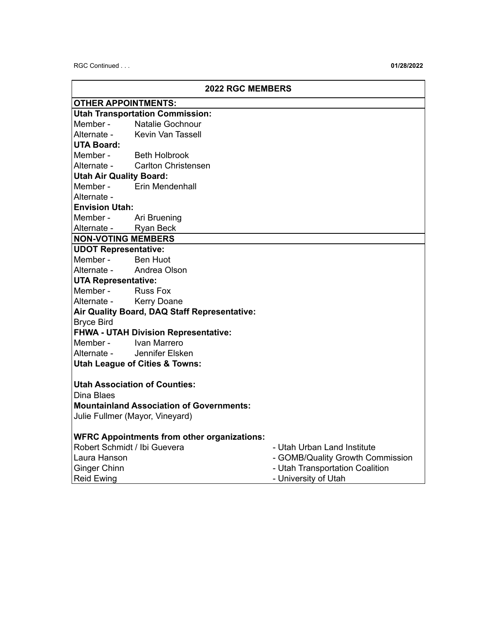RGC Continued . . . **01/28/2022**

|                                | <b>2022 RGC MEMBERS</b>                            |                                  |  |
|--------------------------------|----------------------------------------------------|----------------------------------|--|
| <b>OTHER APPOINTMENTS:</b>     |                                                    |                                  |  |
|                                | <b>Utah Transportation Commission:</b>             |                                  |  |
| Member -                       | <b>Natalie Gochnour</b>                            |                                  |  |
| Alternate -                    | <b>Kevin Van Tassell</b>                           |                                  |  |
| <b>UTA Board:</b>              |                                                    |                                  |  |
|                                | Member - Beth Holbrook                             |                                  |  |
|                                | Alternate - Carlton Christensen                    |                                  |  |
| <b>Utah Air Quality Board:</b> |                                                    |                                  |  |
|                                | Member - Erin Mendenhall                           |                                  |  |
| Alternate -                    |                                                    |                                  |  |
| <b>Envision Utah:</b>          |                                                    |                                  |  |
| Member - Ari Bruening          |                                                    |                                  |  |
| Alternate - Ryan Beck          |                                                    |                                  |  |
| <b>NON-VOTING MEMBERS</b>      |                                                    |                                  |  |
| <b>UDOT Representative:</b>    |                                                    |                                  |  |
| Member - Ben Huot              |                                                    |                                  |  |
| Alternate - Andrea Olson       |                                                    |                                  |  |
| <b>UTA Representative:</b>     |                                                    |                                  |  |
| Member - Russ Fox              |                                                    |                                  |  |
| Alternate - Kerry Doane        |                                                    |                                  |  |
|                                | Air Quality Board, DAQ Staff Representative:       |                                  |  |
|                                | <b>Bryce Bird</b>                                  |                                  |  |
|                                | <b>FHWA - UTAH Division Representative:</b>        |                                  |  |
| Member - Ivan Marrero          |                                                    |                                  |  |
| Alternate -                    | Jennifer Elsken                                    |                                  |  |
|                                | <b>Utah League of Cities &amp; Towns:</b>          |                                  |  |
|                                | <b>Utah Association of Counties:</b>               |                                  |  |
| Dina Blaes                     |                                                    |                                  |  |
|                                | <b>Mountainland Association of Governments:</b>    |                                  |  |
|                                | Julie Fullmer (Mayor, Vineyard)                    |                                  |  |
|                                |                                                    |                                  |  |
|                                | <b>WFRC Appointments from other organizations:</b> |                                  |  |
| Robert Schmidt / Ibi Guevera   |                                                    | - Utah Urban Land Institute      |  |
| Laura Hanson                   |                                                    | - GOMB/Quality Growth Commission |  |
| <b>Ginger Chinn</b>            |                                                    | - Utah Transportation Coalition  |  |
| <b>Reid Ewing</b>              |                                                    | - University of Utah             |  |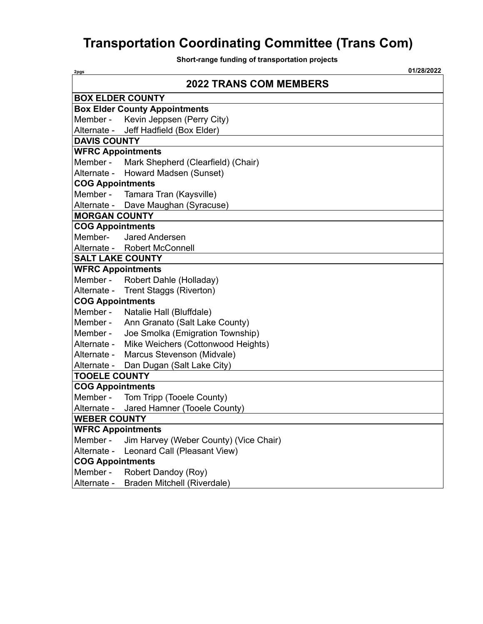# **Transportation Coordinating Committee (Trans Com)**

**Short-range funding of transportation projects**

| 2pgs                     | 01/28/2022                             |
|--------------------------|----------------------------------------|
|                          | <b>2022 TRANS COM MEMBERS</b>          |
|                          | <b>BOX ELDER COUNTY</b>                |
|                          | <b>Box Elder County Appointments</b>   |
|                          | Member - Kevin Jeppsen (Perry City)    |
|                          | Alternate - Jeff Hadfield (Box Elder)  |
| <b>DAVIS COUNTY</b>      |                                        |
| <b>WFRC Appointments</b> |                                        |
| Member -                 | Mark Shepherd (Clearfield) (Chair)     |
| Alternate -              | Howard Madsen (Sunset)                 |
| <b>COG Appointments</b>  |                                        |
|                          | Member - Tamara Tran (Kaysville)       |
|                          | Alternate - Dave Maughan (Syracuse)    |
| <b>MORGAN COUNTY</b>     |                                        |
| <b>COG Appointments</b>  |                                        |
| Member-                  | Jared Andersen                         |
| Alternate -              | <b>Robert McConnell</b>                |
| <b>SALT LAKE COUNTY</b>  |                                        |
| <b>WFRC Appointments</b> |                                        |
|                          | Member - Robert Dahle (Holladay)       |
|                          | Alternate - Trent Staggs (Riverton)    |
| <b>COG Appointments</b>  |                                        |
| Member -                 | Natalie Hall (Bluffdale)               |
| Member -                 | Ann Granato (Salt Lake County)         |
| Member -                 | Joe Smolka (Emigration Township)       |
| Alternate -              | Mike Weichers (Cottonwood Heights)     |
| Alternate -              | Marcus Stevenson (Midvale)             |
| Alternate -              | Dan Dugan (Salt Lake City)             |
| <b>TOOELE COUNTY</b>     |                                        |
| <b>COG Appointments</b>  |                                        |
| Member -                 | Tom Tripp (Tooele County)              |
| Alternate -              | Jared Hamner (Tooele County)           |
| <b>WEBER COUNTY</b>      |                                        |
| <b>WFRC Appointments</b> |                                        |
| Member -                 | Jim Harvey (Weber County) (Vice Chair) |
| Alternate -              | Leonard Call (Pleasant View)           |
| <b>COG Appointments</b>  |                                        |
| Member -                 | Robert Dandoy (Roy)                    |
| Alternate -              | Braden Mitchell (Riverdale)            |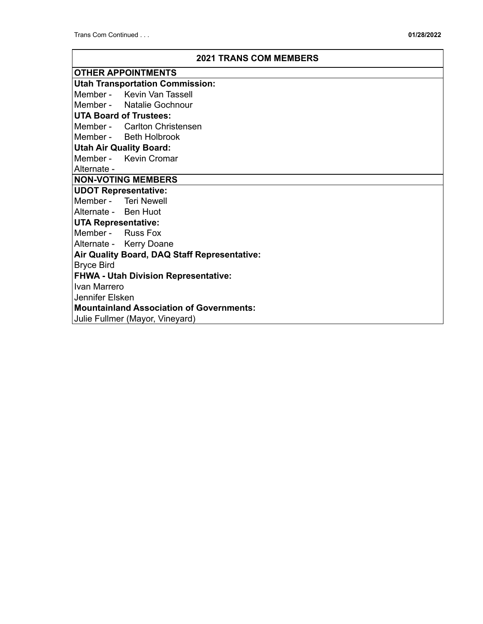| <b>2021 TRANS COM MEMBERS</b> |  |
|-------------------------------|--|
|                               |  |

|                                                 | <b>OTHER APPOINTMENTS</b> |  |
|-------------------------------------------------|---------------------------|--|
| <b>Utah Transportation Commission:</b>          |                           |  |
| Member - Kevin Van Tassell                      |                           |  |
| Member - Natalie Gochnour                       |                           |  |
| <b>UTA Board of Trustees:</b>                   |                           |  |
| Member - Carlton Christensen                    |                           |  |
| Member - Beth Holbrook                          |                           |  |
| <b>Utah Air Quality Board:</b>                  |                           |  |
| Member - Kevin Cromar                           |                           |  |
| Alternate -                                     |                           |  |
| <b>NON-VOTING MEMBERS</b>                       |                           |  |
| <b>UDOT Representative:</b>                     |                           |  |
| Member - Teri Newell                            |                           |  |
| Alternate - Ben Huot                            |                           |  |
| <b>UTA Representative:</b>                      |                           |  |
| Member - Russ Fox                               |                           |  |
| Alternate - Kerry Doane                         |                           |  |
| Air Quality Board, DAQ Staff Representative:    |                           |  |
| <b>Bryce Bird</b>                               |                           |  |
| <b>FHWA - Utah Division Representative:</b>     |                           |  |
| Ivan Marrero                                    |                           |  |
| Jennifer Elsken                                 |                           |  |
| <b>Mountainland Association of Governments:</b> |                           |  |
| Julie Fullmer (Mayor, Vineyard)                 |                           |  |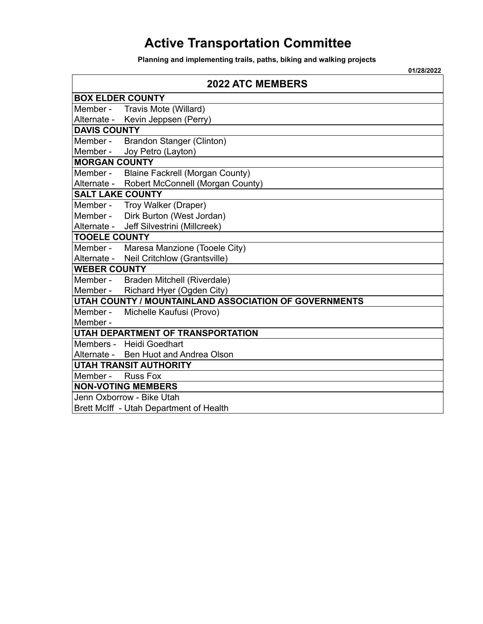# **Active Transportation Committee**

**Planning and implementing trails, paths, biking and walking projects**

|                         | 01/28/2022                                            |  |  |
|-------------------------|-------------------------------------------------------|--|--|
|                         | <b>2022 ATC MEMBERS</b>                               |  |  |
| <b>BOX ELDER COUNTY</b> |                                                       |  |  |
| Member -                | Travis Mote (Willard)                                 |  |  |
| Alternate -             | Kevin Jeppsen (Perry)                                 |  |  |
| <b>DAVIS COUNTY</b>     |                                                       |  |  |
| Member -                | Brandon Stanger (Clinton)                             |  |  |
| Member -                | Joy Petro (Layton)                                    |  |  |
| <b>MORGAN COUNTY</b>    |                                                       |  |  |
| Member -                | <b>Blaine Fackrell (Morgan County)</b>                |  |  |
| Alternate -             | Robert McConnell (Morgan County)                      |  |  |
| <b>SALT LAKE COUNTY</b> |                                                       |  |  |
|                         | Member - Troy Walker (Draper)                         |  |  |
| Member -                | Dirk Burton (West Jordan)                             |  |  |
| Alternate -             | Jeff Silvestrini (Millcreek)                          |  |  |
| <b>TOOELE COUNTY</b>    |                                                       |  |  |
| Member -                | Maresa Manzione (Tooele City)                         |  |  |
| Alternate -             | Neil Critchlow (Grantsville)                          |  |  |
| <b>WEBER COUNTY</b>     |                                                       |  |  |
| Member -                | Braden Mitchell (Riverdale)                           |  |  |
| Member -                | Richard Hyer (Ogden City)                             |  |  |
|                         | UTAH COUNTY / MOUNTAINLAND ASSOCIATION OF GOVERNMENTS |  |  |
| Member -                | Michelle Kaufusi (Provo)                              |  |  |
| Member -                |                                                       |  |  |
|                         | <b>UTAH DEPARTMENT OF TRANSPORTATION</b>              |  |  |
|                         | Members - Heidi Goedhart                              |  |  |
|                         | Alternate - Ben Huot and Andrea Olson                 |  |  |
|                         | <b>UTAH TRANSIT AUTHORITY</b>                         |  |  |
| Member -                | <b>Russ Fox</b>                                       |  |  |
|                         | <b>NON-VOTING MEMBERS</b>                             |  |  |
|                         | Jenn Oxborrow - Bike Utah                             |  |  |
|                         | Brett McIff - Utah Department of Health               |  |  |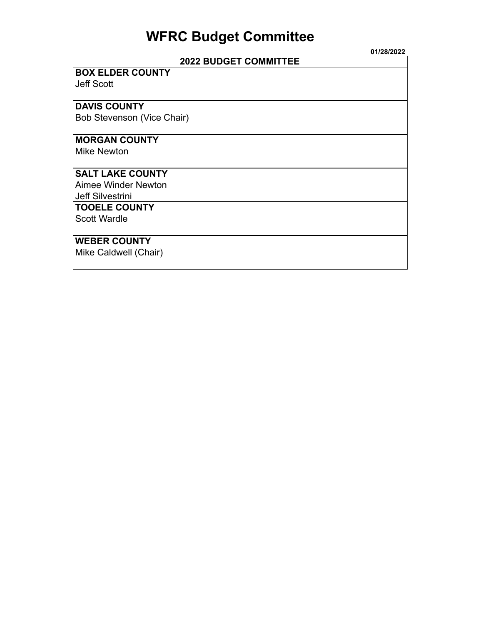# **WFRC Budget Committee**

|                              | 01/28/2022 |
|------------------------------|------------|
| <b>2022 BUDGET COMMITTEE</b> |            |
| <b>BOX ELDER COUNTY</b>      |            |
| <b>Jeff Scott</b>            |            |
|                              |            |
| <b>DAVIS COUNTY</b>          |            |
| Bob Stevenson (Vice Chair)   |            |
|                              |            |
| <b>MORGAN COUNTY</b>         |            |
| <b>Mike Newton</b>           |            |
|                              |            |
| <b>SALT LAKE COUNTY</b>      |            |
| Aimee Winder Newton          |            |
| Jeff Silvestrini             |            |
| <b>TOOELE COUNTY</b>         |            |
| <b>Scott Wardle</b>          |            |
|                              |            |
| <b>WEBER COUNTY</b>          |            |
| Mike Caldwell (Chair)        |            |
|                              |            |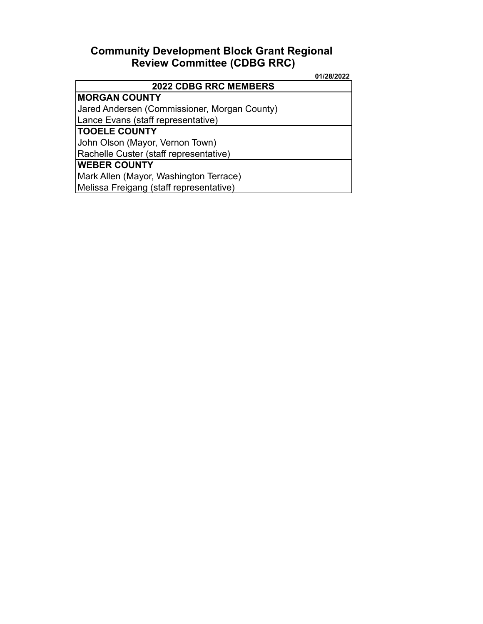## **Community Development Block Grant Regional Review Committee (CDBG RRC)**

|                                              | 01/28/2022 |
|----------------------------------------------|------------|
| <b>2022 CDBG RRC MEMBERS</b>                 |            |
| <b>MORGAN COUNTY</b>                         |            |
| Jared Andersen (Commissioner, Morgan County) |            |
| Lance Evans (staff representative)           |            |
| <b>TOOELE COUNTY</b>                         |            |
| John Olson (Mayor, Vernon Town)              |            |
| Rachelle Custer (staff representative)       |            |
| <b>WEBER COUNTY</b>                          |            |
| Mark Allen (Mayor, Washington Terrace)       |            |
| Melissa Freigang (staff representative)      |            |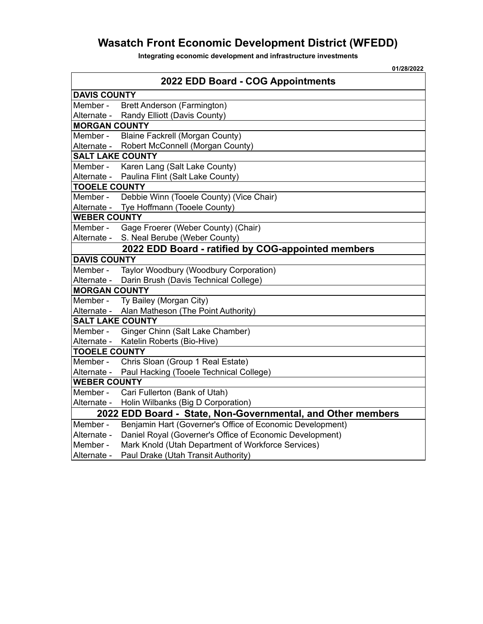# **Wasatch Front Economic Development District (WFEDD)**

**Integrating economic development and infrastructure investments**

| 2022 EDD Board - COG Appointments<br><b>DAVIS COUNTY</b><br>Member -<br>Brett Anderson (Farmington)<br>Alternate -<br>Randy Elliott (Davis County)<br><b>MORGAN COUNTY</b><br>Member -<br><b>Blaine Fackrell (Morgan County)</b> |
|----------------------------------------------------------------------------------------------------------------------------------------------------------------------------------------------------------------------------------|
|                                                                                                                                                                                                                                  |
|                                                                                                                                                                                                                                  |
|                                                                                                                                                                                                                                  |
|                                                                                                                                                                                                                                  |
|                                                                                                                                                                                                                                  |
|                                                                                                                                                                                                                                  |
| Robert McConnell (Morgan County)<br>Alternate -                                                                                                                                                                                  |
| <b>SALT LAKE COUNTY</b>                                                                                                                                                                                                          |
| Karen Lang (Salt Lake County)<br>Member -                                                                                                                                                                                        |
| Alternate -<br>Paulina Flint (Salt Lake County)                                                                                                                                                                                  |
| <b>TOOELE COUNTY</b>                                                                                                                                                                                                             |
| Debbie Winn (Tooele County) (Vice Chair)<br>Member -                                                                                                                                                                             |
| Tye Hoffmann (Tooele County)<br>Alternate -                                                                                                                                                                                      |
| <b>WEBER COUNTY</b>                                                                                                                                                                                                              |
| Member -<br>Gage Froerer (Weber County) (Chair)                                                                                                                                                                                  |
| S. Neal Berube (Weber County)<br>Alternate -                                                                                                                                                                                     |
| 2022 EDD Board - ratified by COG-appointed members                                                                                                                                                                               |
| <b>DAVIS COUNTY</b>                                                                                                                                                                                                              |
| Member -<br>Taylor Woodbury (Woodbury Corporation)                                                                                                                                                                               |
| Darin Brush (Davis Technical College)<br>Alternate -                                                                                                                                                                             |
| <b>MORGAN COUNTY</b>                                                                                                                                                                                                             |
| Member -<br>Ty Bailey (Morgan City)                                                                                                                                                                                              |
| Alternate -<br>Alan Matheson (The Point Authority)                                                                                                                                                                               |
| <b>SALT LAKE COUNTY</b>                                                                                                                                                                                                          |
| Ginger Chinn (Salt Lake Chamber)<br>Member -                                                                                                                                                                                     |
| Katelin Roberts (Bio-Hive)<br>Alternate -                                                                                                                                                                                        |
| <b>TOOELE COUNTY</b>                                                                                                                                                                                                             |
| Chris Sloan (Group 1 Real Estate)<br>Member -                                                                                                                                                                                    |
| Paul Hacking (Tooele Technical College)<br>Alternate -                                                                                                                                                                           |
| <b>WEBER COUNTY</b>                                                                                                                                                                                                              |
| Cari Fullerton (Bank of Utah)<br>Member -                                                                                                                                                                                        |
| Holin Wilbanks (Big D Corporation)<br>Alternate -                                                                                                                                                                                |
| 2022 EDD Board - State, Non-Governmental, and Other members                                                                                                                                                                      |
| Benjamin Hart (Governer's Office of Economic Development)<br>Member -                                                                                                                                                            |
| Daniel Royal (Governer's Office of Economic Development)<br>Alternate -                                                                                                                                                          |
| Mark Knold (Utah Department of Workforce Services)<br>Member -                                                                                                                                                                   |
| Paul Drake (Utah Transit Authority)<br>Alternate -                                                                                                                                                                               |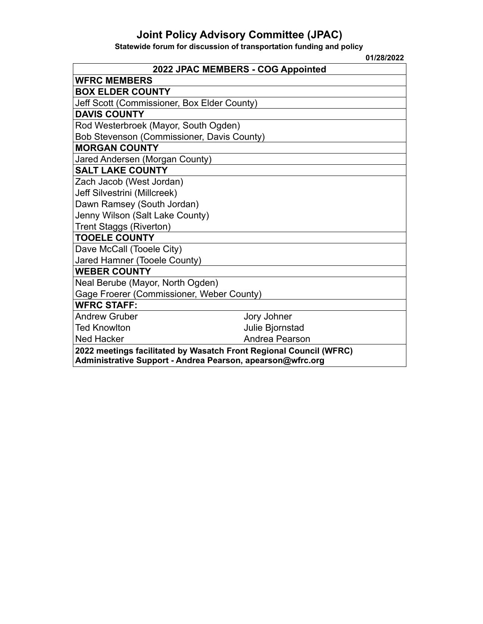## **Joint Policy Advisory Committee (JPAC)**

**Statewide forum for discussion of transportation funding and policy**

| 01/28/2022                                                                                                                       |
|----------------------------------------------------------------------------------------------------------------------------------|
| 2022 JPAC MEMBERS - COG Appointed                                                                                                |
| <b>WFRC MEMBERS</b>                                                                                                              |
| <b>BOX ELDER COUNTY</b>                                                                                                          |
| Jeff Scott (Commissioner, Box Elder County)                                                                                      |
| <b>DAVIS COUNTY</b>                                                                                                              |
| Rod Westerbroek (Mayor, South Ogden)                                                                                             |
| Bob Stevenson (Commissioner, Davis County)                                                                                       |
| <b>MORGAN COUNTY</b>                                                                                                             |
| Jared Andersen (Morgan County)                                                                                                   |
| <b>SALT LAKE COUNTY</b>                                                                                                          |
| Zach Jacob (West Jordan)                                                                                                         |
| Jeff Silvestrini (Millcreek)                                                                                                     |
| Dawn Ramsey (South Jordan)                                                                                                       |
| Jenny Wilson (Salt Lake County)                                                                                                  |
| Trent Staggs (Riverton)                                                                                                          |
| <b>TOOELE COUNTY</b>                                                                                                             |
| Dave McCall (Tooele City)                                                                                                        |
| Jared Hamner (Tooele County)                                                                                                     |
| <b>WEBER COUNTY</b>                                                                                                              |
| Neal Berube (Mayor, North Ogden)                                                                                                 |
| Gage Froerer (Commissioner, Weber County)                                                                                        |
| <b>WFRC STAFF:</b>                                                                                                               |
| <b>Andrew Gruber</b><br>Jory Johner                                                                                              |
| <b>Ted Knowlton</b><br>Julie Bjornstad                                                                                           |
| Andrea Pearson<br><b>Ned Hacker</b>                                                                                              |
| 2022 meetings facilitated by Wasatch Front Regional Council (WFRC)<br>Administrative Support - Andrea Pearson, apearson@wfrc.org |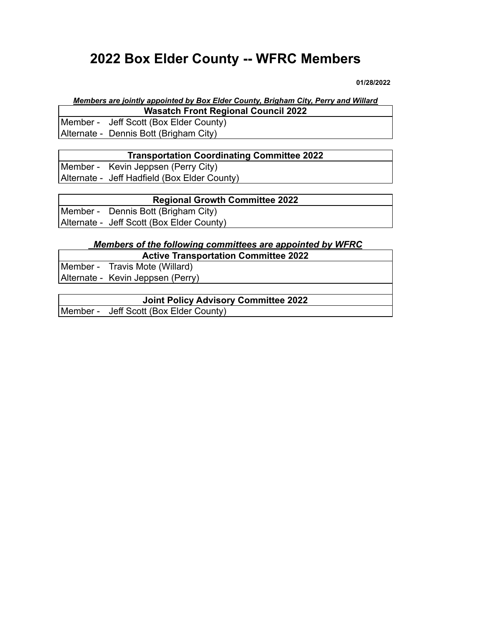# **2022 Box Elder County -- WFRC Members**

**01/28/2022**

### *Members are jointly appointed by Box Elder County, Brigham City, Perry and Willard* **Wasatch Front Regional Council 2022**

Member - Jeff Scott (Box Elder County) Alternate - Dennis Bott (Brigham City)

### **Transportation Coordinating Committee 2022**

Member - Kevin Jeppsen (Perry City)

Alternate - Jeff Hadfield (Box Elder County)

### **Regional Growth Committee 2022**

Member - Dennis Bott (Brigham City)

Alternate - Jeff Scott (Box Elder County)

## *Members of the following committees are appointed by WFRC*

**Active Transportation Committee 2022**

Member - Travis Mote (Willard) Alternate - Kevin Jeppsen (Perry)

| Joint Policy Advisory Committee 2022   |  |
|----------------------------------------|--|
| Member - Jeff Scott (Box Elder County) |  |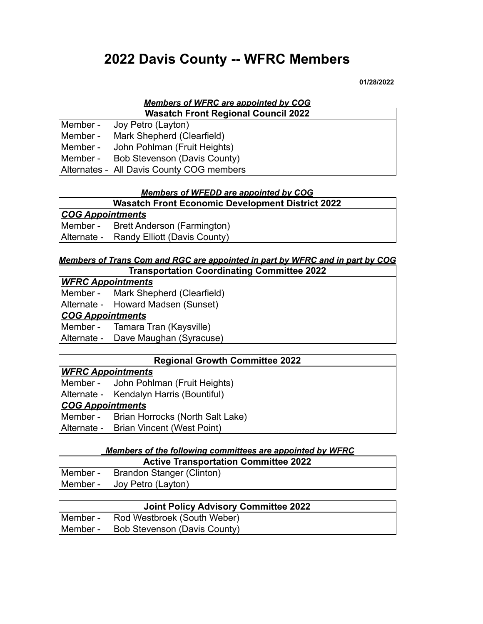# **2022 Davis County -- WFRC Members**

**01/28/2022**

## *Members of WFRC are appointed by COG*

| <b>Wasatch Front Regional Council 2022</b> |
|--------------------------------------------|
| Member - Joy Petro (Layton)                |
| Member - Mark Shepherd (Clearfield)        |
| Member - John Pohlman (Fruit Heights)      |
| Member - Bob Stevenson (Davis County)      |
| Alternates - All Davis County COG members  |

### *Members of WFEDD are appointed by COG*

**Wasatch Front Economic Development District 2022**

| <b>COG Appointments</b> |                              |  |
|-------------------------|------------------------------|--|
| Member -                | Brett Anderson (Farmington)  |  |
| Alternate -             | Randy Elliott (Davis County) |  |

## *Members of Trans Com and RGC are appointed in part by WFRC and in part by COG*

### **Transportation Coordinating Committee 2022**

*WFRC Appointments* Member - Mark Shepherd (Clearfield) Alternate - Howard Madsen (Sunset)

### *COG Appointments*

Member - Tamara Tran (Kaysville) Alternate - Dave Maughan (Syracuse)

### **Regional Growth Committee 2022**

### *WFRC Appointments*

|                         | Member - John Pohlman (Fruit Heights)     |  |
|-------------------------|-------------------------------------------|--|
|                         | Alternate - Kendalyn Harris (Bountiful)   |  |
| <b>COG Appointments</b> |                                           |  |
|                         | Member - Brian Horrocks (North Salt Lake) |  |
|                         | Alternate - Brian Vincent (West Point)    |  |

### *Members of the following committees are appointed by WFRC*

| <b>Active Transportation Committee 2022</b> |
|---------------------------------------------|
| Member - Brandon Stanger (Clinton)          |
| Member - Joy Petro (Layton)                 |

| <b>Joint Policy Advisory Committee 2022</b> |
|---------------------------------------------|
| Member - Rod Westbroek (South Weber)        |
| Member - Bob Stevenson (Davis County)       |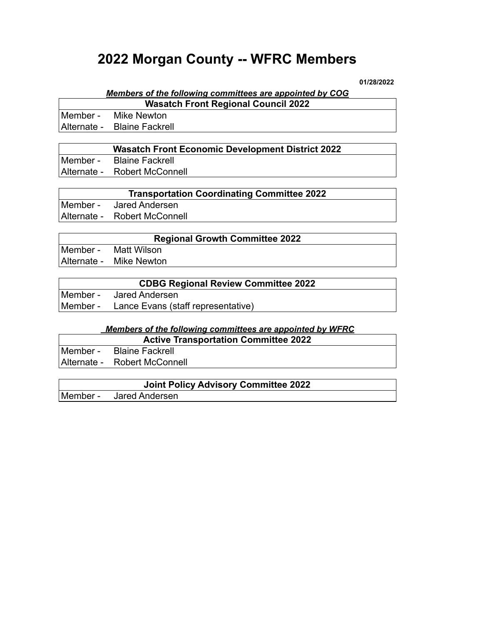# **2022 Morgan County -- WFRC Members**

**01/28/2022**

#### *Members of the following committees are appointed by COG* **Wasatch Front Regional Council 2022**

Г

| <b>Trasalch Front Regional Council 2022</b> |                             |
|---------------------------------------------|-----------------------------|
|                                             | Member - Mike Newton        |
|                                             | Alternate - Blaine Fackrell |
|                                             |                             |

|          | <b>Wasatch Front Economic Development District 2022</b> |
|----------|---------------------------------------------------------|
| Member - | Blaine Fackrell                                         |
|          | Alternate - Robert McConnell                            |

| <b>Transportation Coordinating Committee 2022</b> |
|---------------------------------------------------|
| Member - Jared Andersen                           |
| Alternate - Robert McConnell                      |

| <b>Regional Growth Committee 2022</b> |                         |
|---------------------------------------|-------------------------|
|                                       | Member - Matt Wilson    |
|                                       | Alternate - Mike Newton |

| <b>CDBG Regional Review Committee 2022</b> |                                             |
|--------------------------------------------|---------------------------------------------|
| lMember -                                  | Jared Andersen                              |
|                                            | Member - Lance Evans (staff representative) |

#### *Members of the following committees are appointed by WFRC*

| <b>Active Transportation Committee 2022</b> |                              |
|---------------------------------------------|------------------------------|
|                                             | Member - Blaine Fackrell     |
|                                             | Alternate - Robert McConnell |

| <b>Joint Policy Advisory Committee 2022</b> |                         |  |
|---------------------------------------------|-------------------------|--|
|                                             | Member - Jared Andersen |  |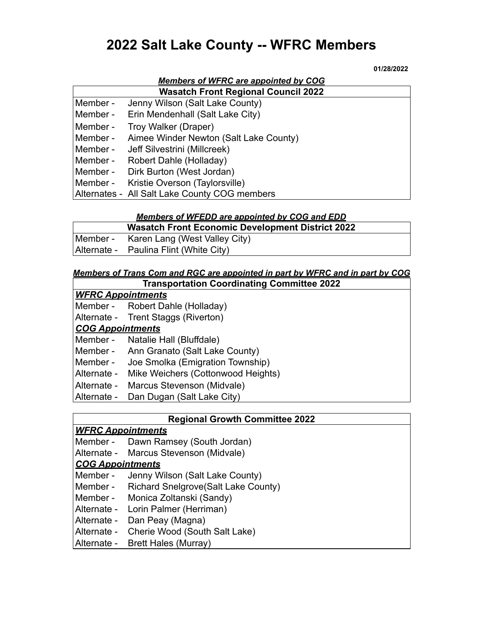# **2022 Salt Lake County -- WFRC Members**

#### **01/28/2022**

| <b>Members of WFRC are appointed by COG</b> |                                        |  |
|---------------------------------------------|----------------------------------------|--|
| <b>Wasatch Front Regional Council 2022</b>  |                                        |  |
| Member -                                    | Jenny Wilson (Salt Lake County)        |  |
| Member -                                    | Erin Mendenhall (Salt Lake City)       |  |
| Member -                                    | Troy Walker (Draper)                   |  |
| Member -                                    | Aimee Winder Newton (Salt Lake County) |  |
| Member -                                    | Jeff Silvestrini (Millcreek)           |  |
| Member -                                    | Robert Dahle (Holladay)                |  |
| Member -                                    | Dirk Burton (West Jordan)              |  |
| Member -                                    | Kristie Overson (Taylorsville)         |  |
| Alternates -                                | All Salt Lake County COC members       |  |

Alternates - All Salt Lake County COG members

#### *Members of WFEDD are appointed by COG and EDD*

| <b>Wasatch Front Economic Development District 2022</b> |
|---------------------------------------------------------|
| Member - Karen Lang (West Valley City)                  |
| Alternate - Paulina Flint (White City)                  |

#### *Members of Trans Com and RGC are appointed in part by WFRC and in part by COG* **Transportation Coordinating Committee 2022**

### *WFRC Appointments*

- Member Robert Dahle (Holladay)
- Alternate Trent Staggs (Riverton)

### *COG Appointments*

Member - Natalie Hall (Bluffdale)

- Member Ann Granato (Salt Lake County)
- Member Joe Smolka (Emigration Township)
- Alternate Mike Weichers (Cottonwood Heights)
- Alternate Marcus Stevenson (Midvale)
- Alternate Dan Dugan (Salt Lake City)

### **Regional Growth Committee 2022**

### *WFRC Appointments*

Member - Dawn Ramsey (South Jordan)

Alternate - Marcus Stevenson (Midvale)

### *COG Appointments*

- Member Jenny Wilson (Salt Lake County)
- Member Richard Snelgrove(Salt Lake County)
- Member Monica Zoltanski (Sandy)
- Alternate Lorin Palmer (Herriman)
- Alternate Dan Peay (Magna)
- Alternate Cherie Wood (South Salt Lake)
- Alternate Brett Hales (Murray)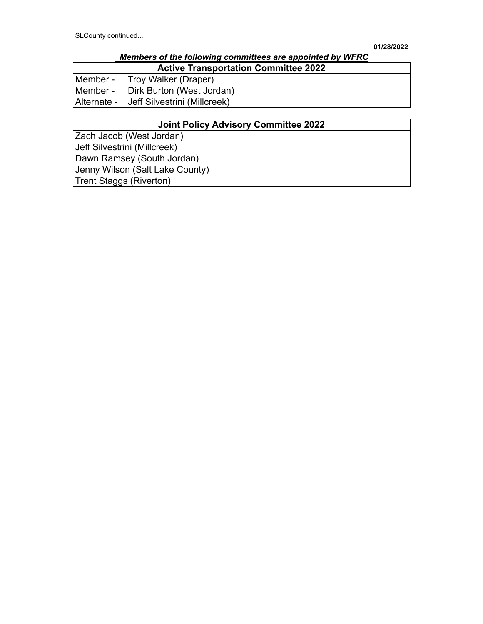|                                             | Members of the following committees are appointed by WFRC |
|---------------------------------------------|-----------------------------------------------------------|
| <b>Active Transportation Committee 2022</b> |                                                           |
|                                             | Member - Troy Walker (Draper)                             |
|                                             | Member - Dirk Burton (West Jordan)                        |
|                                             | Alternate - Jeff Silvestrini (Millcreek)                  |

### **Joint Policy Advisory Committee 2022**

Zach Jacob (West Jordan) Jeff Silvestrini (Millcreek) Dawn Ramsey (South Jordan) Jenny Wilson (Salt Lake County) Trent Staggs (Riverton)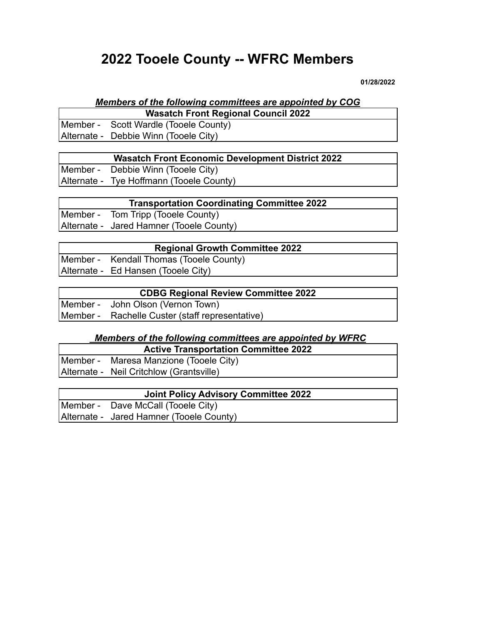# **2022 Tooele County -- WFRC Members**

**01/28/2022**

# *Members of the following committees are appointed by COG*

| <b>Wasatch Front Regional Council 2022</b> |
|--------------------------------------------|
| Member - Scott Wardle (Tooele County)      |
| Alternate - Debbie Winn (Tooele City)      |

| <b>Wasatch Front Economic Development District 2022</b> |
|---------------------------------------------------------|
| Member - Debbie Winn (Tooele City)                      |
| Alternate - Tye Hoffmann (Tooele County)                |

| <b>Transportation Coordinating Committee 2022</b> |
|---------------------------------------------------|
| Member - Tom Tripp (Tooele County)                |
| Alternate - Jared Hamner (Tooele County)          |

| <b>Regional Growth Committee 2022</b> |                                         |
|---------------------------------------|-----------------------------------------|
|                                       | Member - Kendall Thomas (Tooele County) |
|                                       | Alternate - Ed Hansen (Tooele City)     |

|          | <b>CDBG Regional Review Committee 2022</b>      |
|----------|-------------------------------------------------|
| Member - | John Olson (Vernon Town)                        |
|          | Member - Rachelle Custer (staff representative) |

## *Members of the following committees are appointed by WFRC*

| <b>Active Transportation Committee 2022</b> |
|---------------------------------------------|
| Member - Maresa Manzione (Tooele City)      |
| Alternate - Neil Critchlow (Grantsville)    |

| Joint Policy Advisory Committee 2022     |
|------------------------------------------|
| Member - Dave McCall (Tooele City)       |
| Alternate - Jared Hamner (Tooele County) |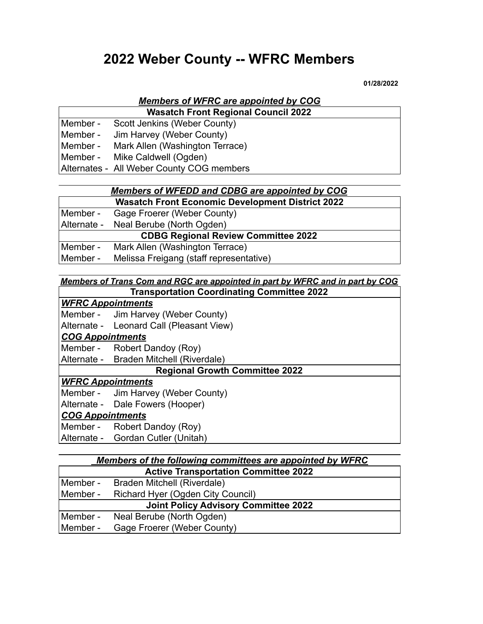# **2022 Weber County -- WFRC Members**

**01/28/2022**

# *Members of WFRC are appointed by COG*

**Wasatch Front Regional Council 2022** Member - Scott Jenkins (Weber County)

Member - Jim Harvey (Weber County)

Member - Mark Allen (Washington Terrace)

Member - Mike Caldwell (Ogden)

Alternates - All Weber County COG members

### *Members of WFEDD and CDBG are appointed by COG* **Wasatch Front Economic Development District 2022**

|          | Member - Gage Froerer (Weber County)       |
|----------|--------------------------------------------|
|          | Alternate - Neal Berube (North Ogden)      |
|          | <b>CDBG Regional Review Committee 2022</b> |
| Member - | Mark Allen (Washington Terrace)            |
| Member - | Melissa Freigang (staff representative)    |

### *Members of Trans Com and RGC are appointed in part by WFRC and in part by COG* **Transportation Coordinating Committee 2022**

### *WFRC Appointments*

Member - Jim Harvey (Weber County)

Alternate - Leonard Call (Pleasant View)

### *COG Appointments*

Member - Robert Dandoy (Roy)

Alternate - Braden Mitchell (Riverdale)

### **Regional Growth Committee 2022**

### *WFRC Appointments*

Member - Jim Harvey (Weber County)<br>Alternate - Dale Fowers (Hooper)

Dale Fowers (Hooper)

### *COG Appointments*

Member - Robert Dandoy (Roy)

Alternate - Gordan Cutler (Unitah)

| <b>Members of the following committees are appointed by WFRC</b> |                                   |  |  |
|------------------------------------------------------------------|-----------------------------------|--|--|
| <b>Active Transportation Committee 2022</b>                      |                                   |  |  |
| Member -                                                         | Braden Mitchell (Riverdale)       |  |  |
| Member -                                                         | Richard Hyer (Ogden City Council) |  |  |
| <b>Joint Policy Advisory Committee 2022</b>                      |                                   |  |  |
| Member -                                                         | Neal Berube (North Ogden)         |  |  |
| Member -                                                         | Gage Froerer (Weber County)       |  |  |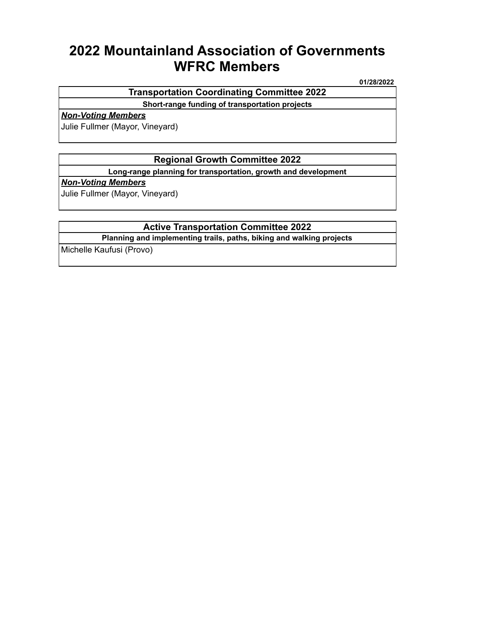# **2022 Mountainland Association of Governments WFRC Members**

**01/28/2022**

### **Transportation Coordinating Committee 2022**

**Short-range funding of transportation projects**

#### *Non-Voting Members*

Julie Fullmer (Mayor, Vineyard)

### **Regional Growth Committee 2022**

**Long-range planning for transportation, growth and development**

#### *Non-Voting Members*

Julie Fullmer (Mayor, Vineyard)

### **Active Transportation Committee 2022**

**Planning and implementing trails, paths, biking and walking projects**

Michelle Kaufusi (Provo)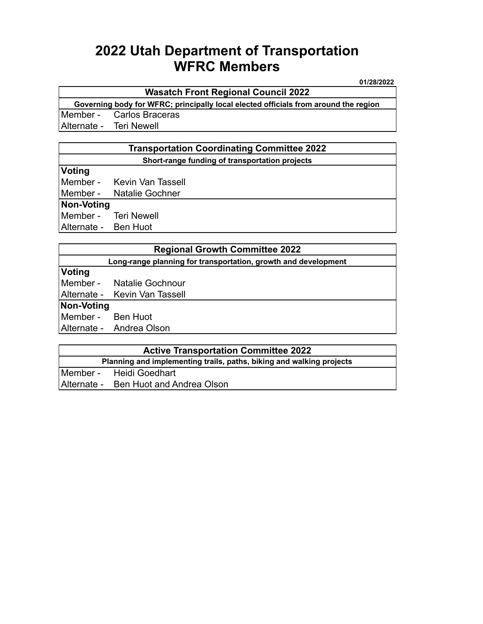# **2022 Utah Department of Transportation WFRC Members**

**01/28/2022**

### **Wasatch Front Regional Council 2022**

**Governing body for WFRC; principally local elected officials from around the region** Member - Carlos Braceras

Alternate - Teri Newell

### **Transportation Coordinating Committee 2022 Short-range funding of transportation projects**

### **Voting**

Member - Kevin Van Tassell

Member - Natalie Gochner

#### **Non-Voting**

Member - Teri Newell

Alternate - Ben Huot

|                                                                | <b>Regional Growth Committee 2022</b> |  |  |
|----------------------------------------------------------------|---------------------------------------|--|--|
| Long-range planning for transportation, growth and development |                                       |  |  |
| Voting                                                         |                                       |  |  |
|                                                                | Member - Natalie Gochnour             |  |  |
|                                                                | Alternate - Kevin Van Tassell         |  |  |
| Non-Voting                                                     |                                       |  |  |
| Member - Ben Huot                                              |                                       |  |  |
|                                                                | Alternate - Andrea Olson              |  |  |
|                                                                |                                       |  |  |

| <b>Active Transportation Committee 2022</b>                          |                                       |  |
|----------------------------------------------------------------------|---------------------------------------|--|
| Planning and implementing trails, paths, biking and walking projects |                                       |  |
|                                                                      | Member - Heidi Goedhart               |  |
|                                                                      | Alternate - Ben Huot and Andrea Olson |  |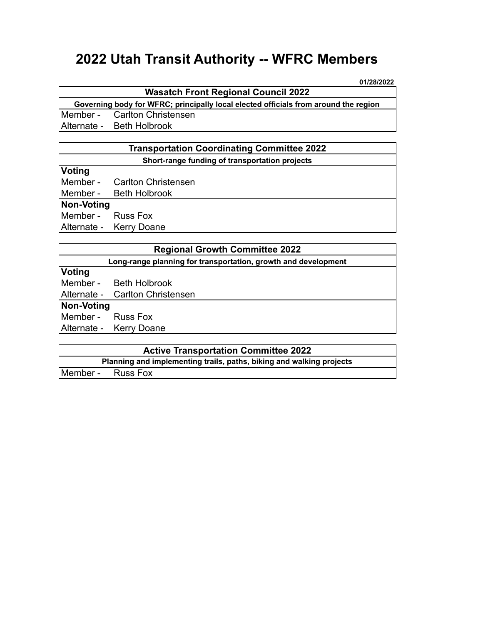# **2022 Utah Transit Authority -- WFRC Members**

**01/28/2022**

### **Wasatch Front Regional Council 2022**

**Governing body for WFRC; principally local elected officials from around the region** Member - Carlton Christensen Alternate - Beth Holbrook

### **Transportation Coordinating Committee 2022 Short-range funding of transportation projects**

## **Voting**

Member - Carlton Christensen

Member - Beth Holbrook

### **Non-Voting**

Member - Russ Fox Alternate - Kerry Doane

|                                                                | <b>Regional Growth Committee 2022</b> |  |  |
|----------------------------------------------------------------|---------------------------------------|--|--|
| Long-range planning for transportation, growth and development |                                       |  |  |
| Voting                                                         |                                       |  |  |
|                                                                | Member - Beth Holbrook                |  |  |
|                                                                | Alternate - Carlton Christensen       |  |  |
| Non-Voting                                                     |                                       |  |  |
| Member - Russ Fox                                              |                                       |  |  |
|                                                                | Alternate - Kerry Doane               |  |  |

| <b>Active Transportation Committee 2022</b>                          |  |
|----------------------------------------------------------------------|--|
| Planning and implementing trails, paths, biking and walking projects |  |
| Member - Russ Fox                                                    |  |